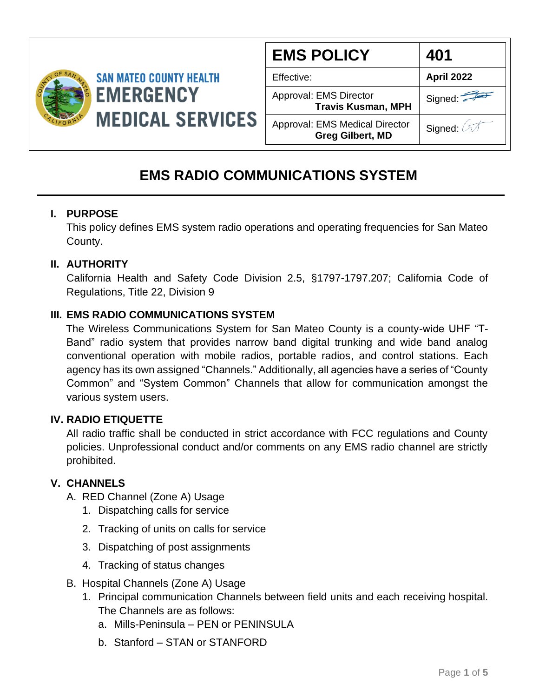

| <b>EMS POLICY</b>                                                | 401        |
|------------------------------------------------------------------|------------|
| Effective:                                                       | April 2022 |
| Approval: EMS Director<br><b>Travis Kusman, MPH</b>              | Signed:    |
| <b>Approval: EMS Medical Director</b><br><b>Greg Gilbert, MD</b> | Signed: 4  |

### **EMS RADIO COMMUNICATIONS SYSTEM**

#### **I. PURPOSE**

This policy defines EMS system radio operations and operating frequencies for San Mateo County.

#### **II. AUTHORITY**

California Health and Safety Code Division 2.5, §1797-1797.207; California Code of Regulations, Title 22, Division 9

#### **III. EMS RADIO COMMUNICATIONS SYSTEM**

The Wireless Communications System for San Mateo County is a county-wide UHF "T-Band" radio system that provides narrow band digital trunking and wide band analog conventional operation with mobile radios, portable radios, and control stations. Each agency has its own assigned "Channels." Additionally, all agencies have a series of "County Common" and "System Common" Channels that allow for communication amongst the various system users.

#### **IV. RADIO ETIQUETTE**

All radio traffic shall be conducted in strict accordance with FCC regulations and County policies. Unprofessional conduct and/or comments on any EMS radio channel are strictly prohibited.

### **V. CHANNELS**

- A. RED Channel (Zone A) Usage
	- 1. Dispatching calls for service
	- 2. Tracking of units on calls for service
	- 3. Dispatching of post assignments
	- 4. Tracking of status changes
- B. Hospital Channels (Zone A) Usage
	- 1. Principal communication Channels between field units and each receiving hospital. The Channels are as follows:
		- a. Mills-Peninsula PEN or PENINSULA
		- b. Stanford STAN or STANFORD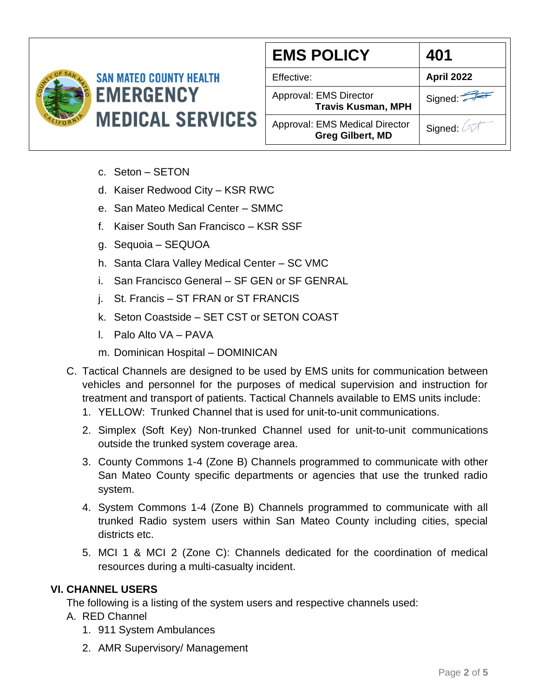

#### **EMS POLICY 401 SAN MATEO COUNTY HEALTH** Effective: **April 2022** Approval: EMS Director Signed: **Travis Kusman, MPH MEDICAL SERVICES** Approval: EMS Medical Director Signed: 0 **Greg Gilbert, MD**

- c. Seton SETON
- d. Kaiser Redwood City KSR RWC
- e. San Mateo Medical Center SMMC
- f. Kaiser South San Francisco KSR SSF
- g. Sequoia SEQUOA
- h. Santa Clara Valley Medical Center SC VMC
- i. San Francisco General SF GEN or SF GENRAL
- j. St. Francis ST FRAN or ST FRANCIS
- k. Seton Coastside SET CST or SETON COAST
- l. Palo Alto VA PAVA
- m. Dominican Hospital DOMINICAN
- C. Tactical Channels are designed to be used by EMS units for communication between vehicles and personnel for the purposes of medical supervision and instruction for treatment and transport of patients. Tactical Channels available to EMS units include:
	- 1. YELLOW: Trunked Channel that is used for unit-to-unit communications.
	- 2. Simplex (Soft Key) Non-trunked Channel used for unit-to-unit communications outside the trunked system coverage area.
	- 3. County Commons 1-4 (Zone B) Channels programmed to communicate with other San Mateo County specific departments or agencies that use the trunked radio system.
	- 4. System Commons 1-4 (Zone B) Channels programmed to communicate with all trunked Radio system users within San Mateo County including cities, special districts etc.
	- 5. MCI 1 & MCI 2 (Zone C): Channels dedicated for the coordination of medical resources during a multi-casualty incident.

#### **VI. CHANNEL USERS**

The following is a listing of the system users and respective channels used:

- A. RED Channel
	- 1. 911 System Ambulances
	- 2. AMR Supervisory/ Management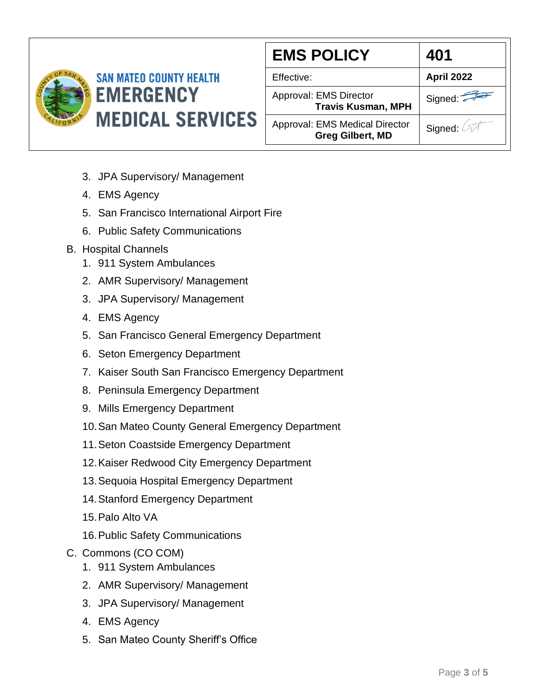

# **SAN MATEO COUNTY HEALTH EMERGENCY MEDICAL SERVICES**

| <b>EMS POLICY</b>                                         | 401        |
|-----------------------------------------------------------|------------|
| Effective:                                                | April 2022 |
| Approval: EMS Director<br><b>Travis Kusman, MPH</b>       | Signed:    |
| Approval: EMS Medical Director<br><b>Greg Gilbert, MD</b> | Signed: 4  |

- 3. JPA Supervisory/ Management
- 4. EMS Agency
- 5. San Francisco International Airport Fire
- 6. Public Safety Communications
- B. Hospital Channels
	- 1. 911 System Ambulances
	- 2. AMR Supervisory/ Management
	- 3. JPA Supervisory/ Management
	- 4. EMS Agency
	- 5. San Francisco General Emergency Department
	- 6. Seton Emergency Department
	- 7. Kaiser South San Francisco Emergency Department
	- 8. Peninsula Emergency Department
	- 9. Mills Emergency Department
	- 10.San Mateo County General Emergency Department
	- 11.Seton Coastside Emergency Department
	- 12.Kaiser Redwood City Emergency Department
	- 13.Sequoia Hospital Emergency Department
	- 14.Stanford Emergency Department
	- 15.Palo Alto VA
	- 16.Public Safety Communications
- C. Commons (CO COM)
	- 1. 911 System Ambulances
	- 2. AMR Supervisory/ Management
	- 3. JPA Supervisory/ Management
	- 4. EMS Agency
	- 5. San Mateo County Sheriff's Office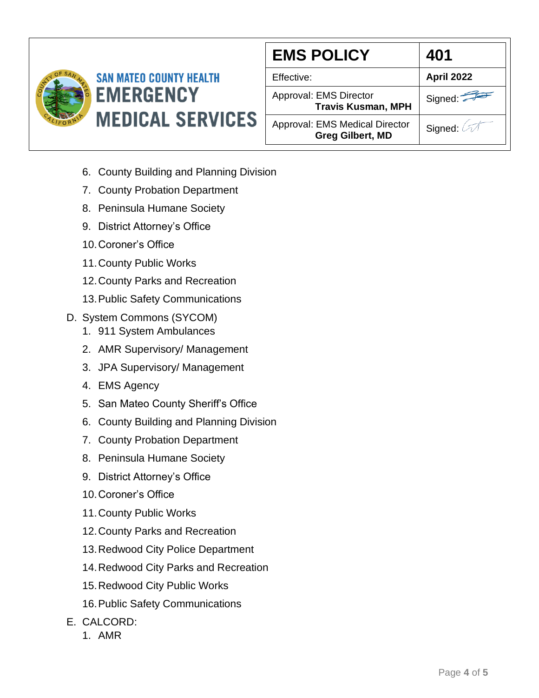

## **SAN MATEO COUNTY HEALTH EMERGENCY MEDICAL SERVICES**

| <b>EMS POLICY</b>                                                | 401               |
|------------------------------------------------------------------|-------------------|
| Effective:                                                       | <b>April 2022</b> |
| Approval: EMS Director<br><b>Travis Kusman, MPH</b>              | Signed:           |
| <b>Approval: EMS Medical Director</b><br><b>Greg Gilbert, MD</b> | Signed: A         |

- 6. County Building and Planning Division
- 7. County Probation Department
- 8. Peninsula Humane Society
- 9. District Attorney's Office
- 10.Coroner's Office
- 11.County Public Works
- 12.County Parks and Recreation
- 13.Public Safety Communications
- D. System Commons (SYCOM)
	- 1. 911 System Ambulances
	- 2. AMR Supervisory/ Management
	- 3. JPA Supervisory/ Management
	- 4. EMS Agency
	- 5. San Mateo County Sheriff's Office
	- 6. County Building and Planning Division
	- 7. County Probation Department
	- 8. Peninsula Humane Society
	- 9. District Attorney's Office
	- 10.Coroner's Office
	- 11.County Public Works
	- 12.County Parks and Recreation
	- 13.Redwood City Police Department
	- 14.Redwood City Parks and Recreation
	- 15.Redwood City Public Works
	- 16.Public Safety Communications
- E. CALCORD:
	- 1. AMR